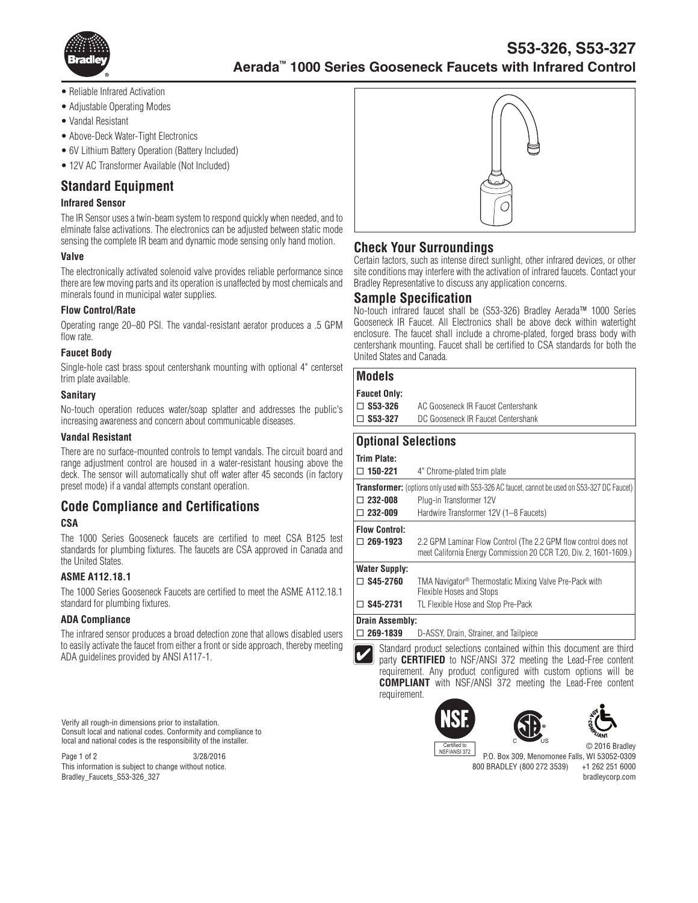

- Reliable Infrared Activation
- Adjustable Operating Modes
- Vandal Resistant
- Above-Deck Water-Tight Electronics
- 6V Lithium Battery Operation (Battery Included)
- 12V AC Transformer Available (Not Included)

## **Standard Equipment**

## **Infrared Sensor**

The IR Sensor uses a twin-beam system to respond quickly when needed, and to elminate false activations. The electronics can be adjusted between static mode sensing the complete IR beam and dynamic mode sensing only hand motion.

### **Valve**

The electronically activated solenoid valve provides reliable performance since there are few moving parts and its operation is unaffected by most chemicals and minerals found in municipal water supplies.

### **Flow Control/Rate**

Operating range 20–80 PSI. The vandal-resistant aerator produces a .5 GPM flow rate.

### **Faucet Body**

Single-hole cast brass spout centershank mounting with optional 4" centerset trim plate available.

### **Sanitary**

No-touch operation reduces water/soap splatter and addresses the public's increasing awareness and concern about communicable diseases.

#### **Vandal Resistant**

There are no surface-mounted controls to tempt vandals. The circuit board and range adjustment control are housed in a water-resistant housing above the deck. The sensor will automatically shut off water after 45 seconds (in factory preset mode) if a vandal attempts constant operation.

# **Code Compliance and Certifications**

## **CSA**

The 1000 Series Gooseneck faucets are certified to meet CSA B125 test standards for plumbing fixtures. The faucets are CSA approved in Canada and the United States.

## **ASME A112.18.1**

The 1000 Series Gooseneck Faucets are certified to meet the ASME A112.18.1 standard for plumbing fixtures.

## **ADA Compliance**

The infrared sensor produces a broad detection zone that allows disabled users to easily activate the faucet from either a front or side approach, thereby meeting ADA guidelines provided by ANSI A117-1.

Verify all rough-in dimensions prior to installation. Consult local and national codes. Conformity and compliance to local and national codes is the responsibility of the installer.

Page 1 of 2 3/28/2016 This information is subject to change without notice. Bradley\_Faucets\_S53-326\_327



# **Check Your Surroundings**

Certain factors, such as intense direct sunlight, other infrared devices, or other site conditions may interfere with the activation of infrared faucets. Contact your Bradley Representative to discuss any application concerns.

### **Sample Specification**

No-touch infrared faucet shall be (S53-326) Bradley Aerada™ 1000 Series Gooseneck IR Faucet. All Electronics shall be above deck within watertight enclosure. The faucet shall include a chrome-plated, forged brass body with centershank mounting. Faucet shall be certified to CSA standards for both the United States and Canada.

## **Models**

| <b>Faucet Only:</b> |                                    |
|---------------------|------------------------------------|
| $\square$ S53-326   | AC Gooseneck IR Faucet Centershank |
| $\square$ S53-327   | DC Gooseneck IR Faucet Centershank |

# **Optional Selections**

requirement.

| Trim Plate:                                                                                         |                                                                                                                                       |
|-----------------------------------------------------------------------------------------------------|---------------------------------------------------------------------------------------------------------------------------------------|
| $\Box$ 150-221                                                                                      | 4" Chrome-plated trim plate                                                                                                           |
| <b>Transformer:</b> (options only used with S53-326 AC faucet, cannot be used on S53-327 DC Faucet) |                                                                                                                                       |
| $\Box$ 232-008                                                                                      | Plug-in Transformer 12V                                                                                                               |
| $\Box$ 232-009                                                                                      | Hardwire Transformer 12V (1-8 Faucets)                                                                                                |
| <b>Flow Control:</b>                                                                                |                                                                                                                                       |
| $\Box$ 269-1923                                                                                     | 2.2 GPM Laminar Flow Control (The 2.2 GPM flow control does not<br>meet California Energy Commission 20 CCR T.20, Div. 2, 1601-1609.) |
| <b>Water Supply:</b>                                                                                |                                                                                                                                       |
| $\Box$ S45-2760                                                                                     | TMA Navigator <sup>®</sup> Thermostatic Mixing Valve Pre-Pack with<br>Flexible Hoses and Stops                                        |
| S45-2731<br>П                                                                                       | TL Flexible Hose and Stop Pre-Pack                                                                                                    |
| <b>Drain Assembly:</b>                                                                              |                                                                                                                                       |
| $\Box$ 269-1839                                                                                     | D-ASSY, Drain, Strainer, and Tailpiece                                                                                                |

Standard product selections contained within this document are third party **CERTIFIED** to NSF/ANSI 372 meeting the Lead-Free content requirement. Any product configured with custom options will be **COMPLIANT** with NSF/ANSI 372 meeting the Lead-Free content









P.O. Box 309, Menomonee Falls, WI 53052-0309 800 BRADLEY (800 272 3539) +1 262 251 6000 bradleycorp.com NSF/ANSI 372